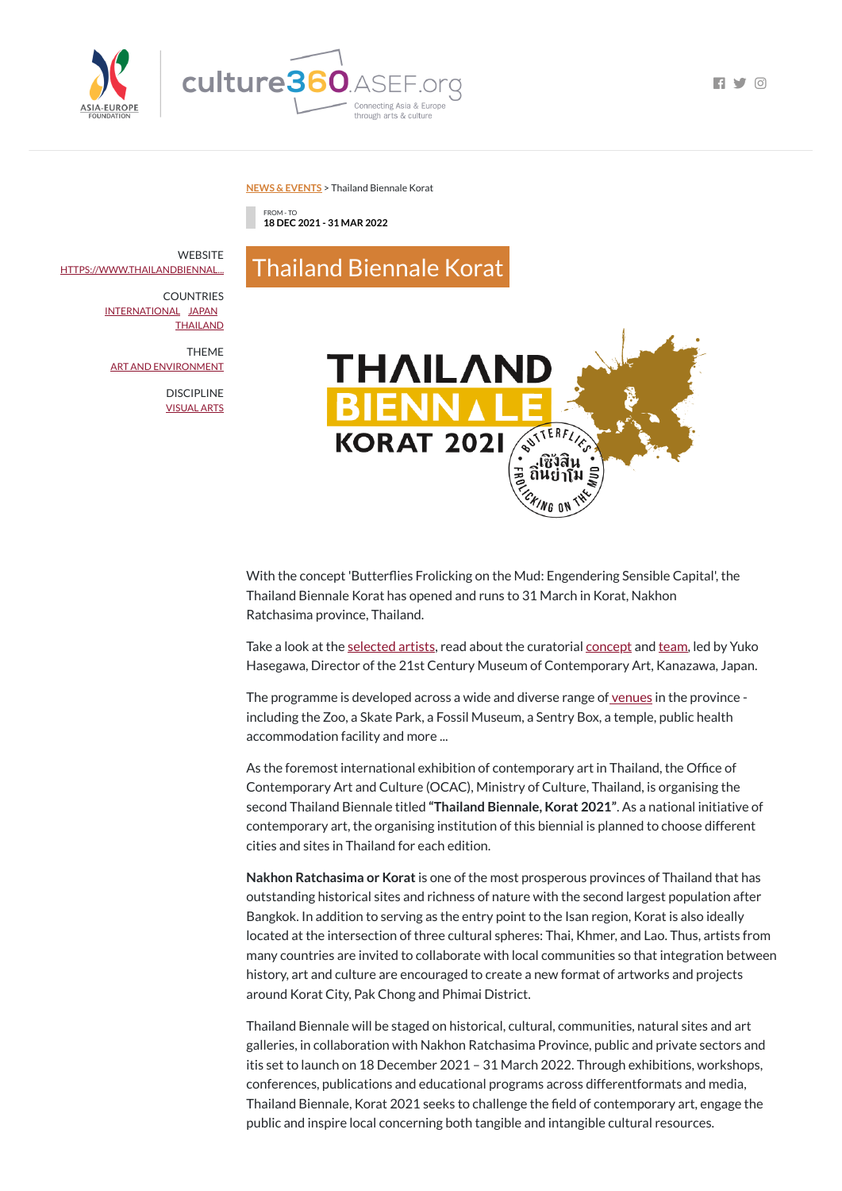



 $\blacksquare$ 

## **NEWS & [EVENTS](https://culture360.asef.org/news-events/)** > Thailand Biennale Korat

FROM - TO **18 DEC 2021 - 31 MAR 2022**

Thailand Biennale Korat

With the concept 'Butterflies Frolicking on the Mud: Engendering Sensible Capital', the Thailand Biennale Korat has opened and runs to 31 March in Korat, Nakhon Ratchasima province, Thailand.

Take a look at the [selected](https://www.thailandbiennale.org/art-artists/) artists, read about the curatorial [concept](https://www.thailandbiennale.org/concept/) and [team,](https://www.thailandbiennale.org/curatorial-team/) led by Yuko Hasegawa, Director of the 21st Century Museum of Contemporary Art, Kanazawa, Japan.

The programme is developed across a wide and diverse range of <u>[venues](https://www.thailandbiennale.org/venues/)</u> in the province including the Zoo, a Skate Park, a Fossil Museum, a Sentry Box, a temple, public health accommodation facility and more ...

As the foremost international exhibition of contemporary art in Thailand, the Office of Contemporary Art and Culture (OCAC), Ministry of Culture, Thailand, is organising the second Thailand Biennale titled **"Thailand Biennale, Korat 2021"**. As a national initiative of contemporary art, the organising institution of this biennial is planned to choose different cities and sites in Thailand for each edition.

**WEBSITE** [HTTPS://WWW.THAILANDBIENNAL...](https://www.thailandbiennale.org/)

## **COUNTRIES** [INTERNATIONAL](https://culture360.asef.org/countries/international/) [JAPAN](https://culture360.asef.org/countries/japan/) **[THAILAND](https://culture360.asef.org/countries/thailand/)**

**Nakhon Ratchasima or Korat**is one of the most prosperous provinces of Thailand that has outstanding historical sites and richness of nature with the second largest population after Bangkok. In addition to serving as the entry point to the Isan region, Korat is also ideally located at the intersection of three cultural spheres: Thai, Khmer, and Lao. Thus, artists from many countries are invited to collaborate with local communities so that integration between history, art and culture are encouraged to create a new format of artworks and projects around Korat City, Pak Chong and Phimai District.

Thailand Biennale will be staged on historical, cultural, communities, natural sites and art galleries, in collaboration with Nakhon Ratchasima Province, public and private sectors and itis set to launch on 18 December 2021 – 31 March 2022. Through exhibitions, workshops, conferences, publications and educational programs across differentformats and media, Thailand Biennale, Korat 2021 seeks to challenge the field of contemporary art, engage the public and inspire local concerning both tangible and intangible cultural resources.

THEME ART AND [ENVIRONMENT](https://culture360.asef.org/themes/art-and-environment/)

> DISCIPLINE [VISUAL](https://culture360.asef.org/disciplines/visual-arts/) ARTS